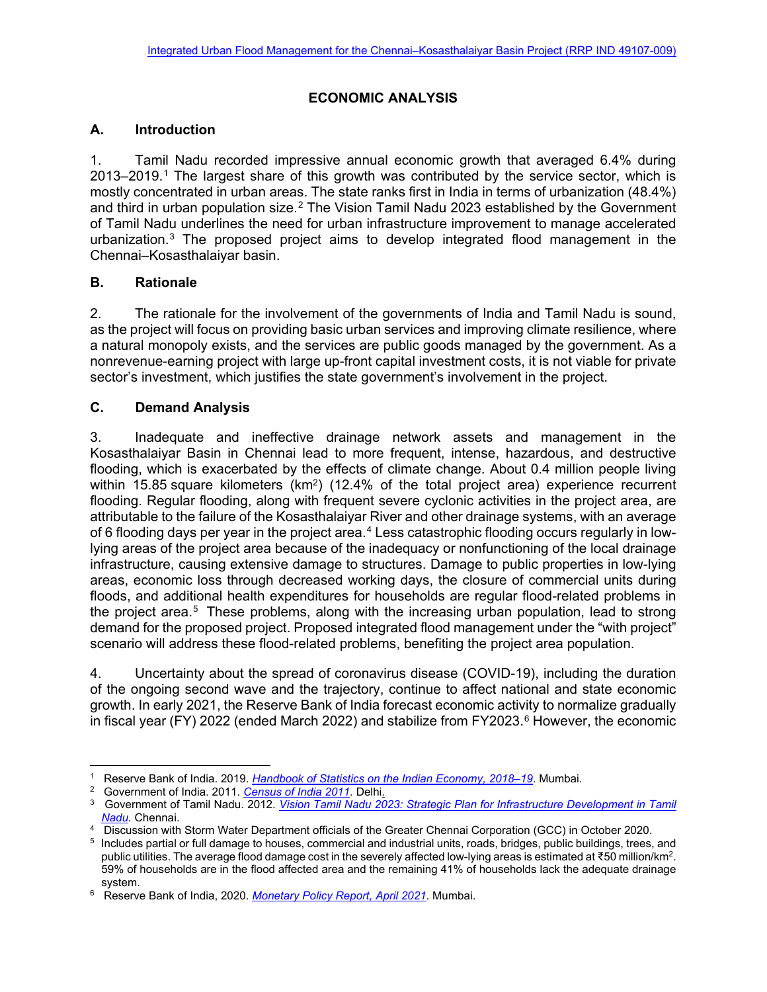## **ECONOMIC ANALYSIS**

## **A. Introduction**

1. Tamil Nadu recorded impressive annual economic growth that averaged 6.4% during 2013–2019.[1](#page-0-0) The largest share of this growth was contributed by the service sector, which is mostly concentrated in urban areas. The state ranks first in India in terms of urbanization (48.4%) and third in urban population size.<sup>[2](#page-0-1)</sup> The Vision Tamil Nadu 2023 established by the Government of Tamil Nadu underlines the need for urban infrastructure improvement to manage accelerated urbanization.[3](#page-0-2) The proposed project aims to develop integrated flood management in the Chennai–Kosasthalaiyar basin.

## **B. Rationale**

2. The rationale for the involvement of the governments of India and Tamil Nadu is sound, as the project will focus on providing basic urban services and improving climate resilience, where a natural monopoly exists, and the services are public goods managed by the government. As a nonrevenue-earning project with large up-front capital investment costs, it is not viable for private sector's investment, which justifies the state government's involvement in the project.

## **C. Demand Analysis**

3. Inadequate and ineffective drainage network assets and management in the Kosasthalaiyar Basin in Chennai lead to more frequent, intense, hazardous, and destructive flooding, which is exacerbated by the effects of climate change. About 0.4 million people living within 15.85 square kilometers (km<sup>2</sup>) (12.4% of the total project area) experience recurrent flooding. Regular flooding, along with frequent severe cyclonic activities in the project area, are attributable to the failure of the Kosasthalaiyar River and other drainage systems, with an average of 6 flooding days per year in the project area.<sup>[4](#page-0-3)</sup> Less catastrophic flooding occurs regularly in lowlying areas of the project area because of the inadequacy or nonfunctioning of the local drainage infrastructure, causing extensive damage to structures. Damage to public properties in low-lying areas, economic loss through decreased working days, the closure of commercial units during floods, and additional health expenditures for households are regular flood-related problems in the project area. $5$  These problems, along with the increasing urban population, lead to strong demand for the proposed project. Proposed integrated flood management under the "with project" scenario will address these flood-related problems, benefiting the project area population.

4. Uncertainty about the spread of coronavirus disease (COVID-19), including the duration of the ongoing second wave and the trajectory, continue to affect national and state economic growth. In early 2021, the Reserve Bank of India forecast economic activity to normalize gradually in fiscal year (FY) 2022 (ended March 2022) and stabilize from FY2023. $6$  However, the economic

<span id="page-0-0"></span><sup>1</sup> Reserve Bank of India. 2019. *[Handbook of Statistics on the Indian Economy,](https://rbidocs.rbi.org.in/rdocs/Publications/PDFs/0HB2018-19A91A298806164470A2BCEF300A4FE334.PDF) 2018–19*. Mumbai.

<span id="page-0-1"></span><sup>2</sup> Government of India. 2011. *[Census of India 2011](https://censusindia.gov.in/2011census/population_enumeration.html)*. Delhi.

<span id="page-0-2"></span><sup>&</sup>lt;sup>3</sup> Government of Tamil Nadu. 2012. *Vision Tamil Nadu 2023: Strategic Plan for Infrastructure Development in Tamil [Nadu.](https://www.thehindu.com/multimedia/archive/00991/Vision_Tamil_Nadu_2_991204a.pdf)* Chennai.

<span id="page-0-3"></span><sup>4</sup> Discussion with Storm Water Department officials of the Greater Chennai Corporation (GCC) in October 2020.

<span id="page-0-4"></span><sup>5</sup> Includes partial or full damage to houses, commercial and industrial units, roads, bridges, public buildings, trees, and public utilities. The average flood damage cost in the severely affected low-lying areas is estimated at ₹50 million/km<sup>2</sup>. 59% of households are in the flood affected area and the remaining 41% of households lack the adequate drainage system.

<span id="page-0-5"></span><sup>6</sup> Reserve Bank of India, 2020. *[Monetary Policy Report, April 2021](https://rbidocs.rbi.org.in/rdocs/Publications/PDFs/MPRA202113A99DAD95344334BF6145CCBB26A744.PDF)*. Mumbai.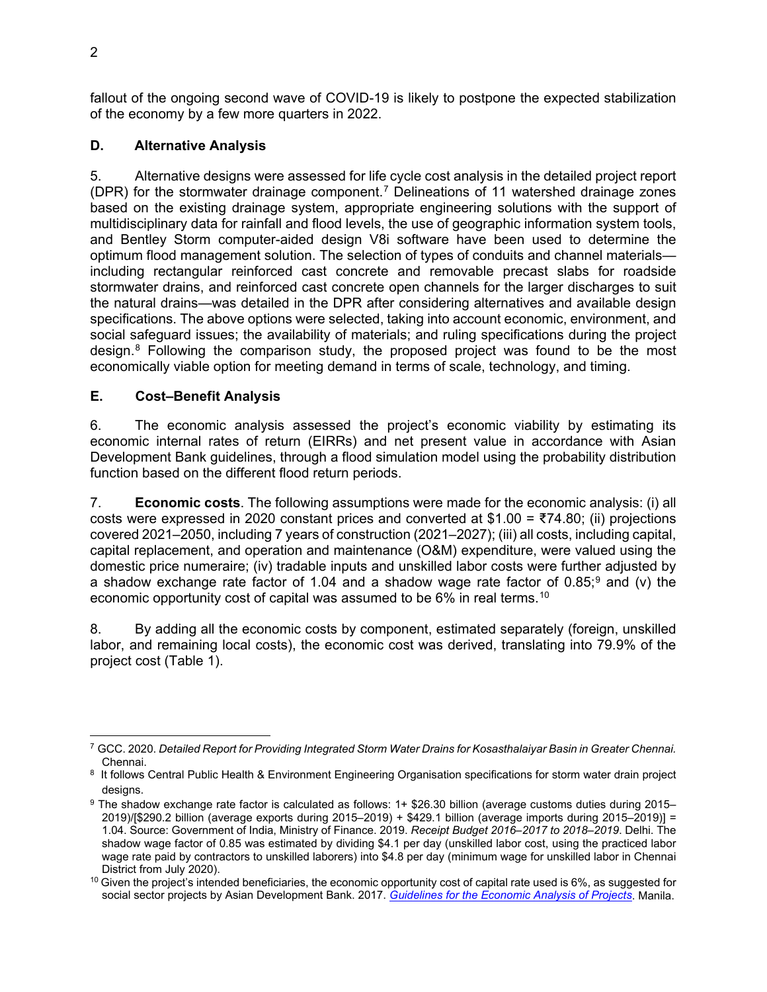fallout of the ongoing second wave of COVID-19 is likely to postpone the expected stabilization of the economy by a few more quarters in 2022.

## **D. Alternative Analysis**

5. Alternative designs were assessed for life cycle cost analysis in the detailed project report (DPR) for the stormwater drainage component.[7](#page-1-0) Delineations of 11 watershed drainage zones based on the existing drainage system, appropriate engineering solutions with the support of multidisciplinary data for rainfall and flood levels, the use of geographic information system tools, and Bentley Storm computer-aided design V8i software have been used to determine the optimum flood management solution. The selection of types of conduits and channel materials including rectangular reinforced cast concrete and removable precast slabs for roadside stormwater drains, and reinforced cast concrete open channels for the larger discharges to suit the natural drains—was detailed in the DPR after considering alternatives and available design specifications. The above options were selected, taking into account economic, environment, and social safeguard issues; the availability of materials; and ruling specifications during the project design. $8$  Following the comparison study, the proposed project was found to be the most economically viable option for meeting demand in terms of scale, technology, and timing.

## **E. Cost–Benefit Analysis**

6. The economic analysis assessed the project's economic viability by estimating its economic internal rates of return (EIRRs) and net present value in accordance with Asian Development Bank guidelines, through a flood simulation model using the probability distribution function based on the different flood return periods.

7. **Economic costs**. The following assumptions were made for the economic analysis: (i) all costs were expressed in 2020 constant prices and converted at \$1.00 = ₹74.80; (ii) projections covered 2021–2050, including 7 years of construction (2021–2027); (iii) all costs, including capital, capital replacement, and operation and maintenance (O&M) expenditure, were valued using the domestic price numeraire; (iv) tradable inputs and unskilled labor costs were further adjusted by a shadow exchange rate factor of 1.04 and a shadow wage rate factor of  $0.85$ ; and (v) the economic opportunity cost of capital was assumed to be 6% in real terms.<sup>[10](#page-1-3)</sup>

8. By adding all the economic costs by component, estimated separately (foreign, unskilled labor, and remaining local costs), the economic cost was derived, translating into 79.9% of the project cost (Table 1).

<span id="page-1-0"></span><sup>7</sup> GCC. 2020. *Detailed Report for Providing Integrated Storm Water Drains for Kosasthalaiyar Basin in Greater Chennai.*  Chennai. 8 It follows Central Public Health & Environment Engineering Organisation specifications for storm water drain project

<span id="page-1-1"></span>

<span id="page-1-2"></span>designs. 9 The shadow exchange rate factor is calculated as follows: 1+ \$26.30 billion (average customs duties during 2015– 2019)/[\$290.2 billion (average exports during 2015–2019) + \$429.1 billion (average imports during 2015–2019)] = 1.04. Source: Government of India, Ministry of Finance. 2019. *Receipt Budget 2016–2017 to 2018–2019*. Delhi. The shadow wage factor of 0.85 was estimated by dividing \$4.1 per day (unskilled labor cost, using the practiced labor wage rate paid by contractors to unskilled laborers) into \$4.8 per day (minimum wage for unskilled labor in Chennai District from July 2020).

<span id="page-1-3"></span><sup>&</sup>lt;sup>10</sup> Given the project's intended beneficiaries, the economic opportunity cost of capital rate used is 6%, as suggested for social sector projects by Asian Development Bank. 2017. *[Guidelines for the Economic Analysis](https://www.adb.org/sites/default/files/institutional-document/32256/economic-analysis-projects.pdf) of Projects*. Manila.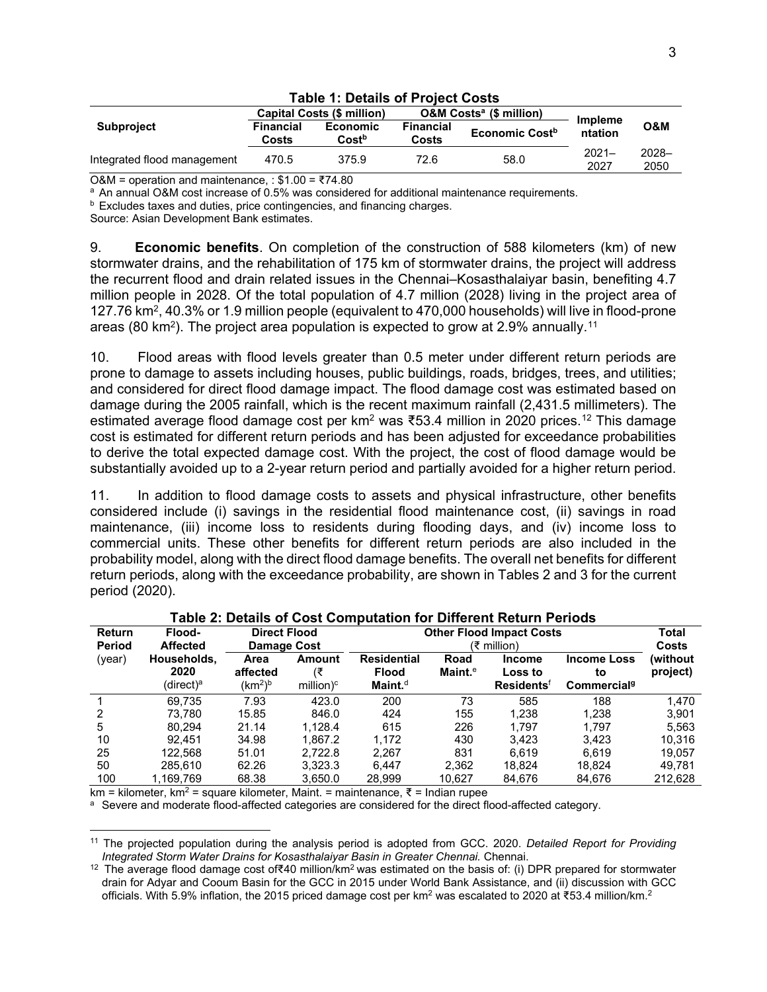|                             |                           | Capital Costs (\$ million)           |                           | <b>O&amp;M Costs<sup>a</sup></b> (\$ million) | <b>Impleme</b><br>ntation | <b>O&amp;M</b>   |
|-----------------------------|---------------------------|--------------------------------------|---------------------------|-----------------------------------------------|---------------------------|------------------|
| <b>Subproject</b>           | <b>Financial</b><br>Costs | <b>Economic</b><br>Cost <sup>b</sup> | <b>Financial</b><br>Costs | Economic Cost <sup>b</sup>                    |                           |                  |
| Integrated flood management | 470.5                     | 375.9                                | 72.6                      | 58.0                                          | $2021 -$<br>2027          | $2028 -$<br>2050 |

#### **Table 1: Details of Project Costs**

O&M = operation and maintenance, :  $$1.00 = ₹74.80$ 

<sup>a</sup> An annual O&M cost increase of 0.5% was considered for additional maintenance requirements.

**b** Excludes taxes and duties, price contingencies, and financing charges.

Source: Asian Development Bank estimates.

9. **Economic benefits**. On completion of the construction of 588 kilometers (km) of new stormwater drains, and the rehabilitation of 175 km of stormwater drains, the project will address the recurrent flood and drain related issues in the Chennai–Kosasthalaiyar basin, benefiting 4.7 million people in 2028. Of the total population of 4.7 million (2028) living in the project area of 127.76 km2, 40.3% or 1.9 million people (equivalent to 470,000 households) will live in flood-prone areas (80 km²). The project area population is expected to grow at 2.9% annually. $^{11}$  $^{11}$  $^{11}$ 

10. Flood areas with flood levels greater than 0.5 meter under different return periods are prone to damage to assets including houses, public buildings, roads, bridges, trees, and utilities; and considered for direct flood damage impact. The flood damage cost was estimated based on damage during the 2005 rainfall, which is the recent maximum rainfall (2,431.5 millimeters). The estimated average flood damage cost per km<sup>2</sup> was ₹53.4 million in 2020 prices.<sup>[12](#page-2-1)</sup> This damage cost is estimated for different return periods and has been adjusted for exceedance probabilities to derive the total expected damage cost. With the project, the cost of flood damage would be substantially avoided up to a 2-year return period and partially avoided for a higher return period.

11. In addition to flood damage costs to assets and physical infrastructure, other benefits considered include (i) savings in the residential flood maintenance cost, (ii) savings in road maintenance, (iii) income loss to residents during flooding days, and (iv) income loss to commercial units. These other benefits for different return periods are also included in the probability model, along with the direct flood damage benefits. The overall net benefits for different return periods, along with the exceedance probability, are shown in Tables 2 and 3 for the current period (2020).

| <b>Return</b><br><b>Period</b> | Flood-<br>Affected               | <b>Direct Flood</b><br>Damage Cost                  |                                  | <b>Other Flood Impact Costs</b><br>(₹ million)   |                    | Total<br><b>Costs</b>                                    |                                                     |                      |
|--------------------------------|----------------------------------|-----------------------------------------------------|----------------------------------|--------------------------------------------------|--------------------|----------------------------------------------------------|-----------------------------------------------------|----------------------|
| (year)                         | Households,<br>2020<br>(direct)ª | Area<br>affected<br>(km <sup>2</sup> ) <sup>b</sup> | Amount<br>(₹<br>million) $\circ$ | <b>Residential</b><br><b>Flood</b><br>$Maint.^d$ | Road<br>Maint. $e$ | <b>Income</b><br>Loss to<br><b>Residents<sup>f</sup></b> | <b>Income Loss</b><br>to<br>Commercial <sup>g</sup> | (without<br>project) |
|                                | 69.735                           | 7.93                                                | 423.0                            | 200                                              | 73                 | 585                                                      | 188                                                 | 1.470                |
|                                | 73.780                           | 15.85                                               | 846.0                            | 424                                              | 155                | 1,238                                                    | 1,238                                               | 3,901                |
| 5                              | 80.294                           | 21.14                                               | 1.128.4                          | 615                                              | 226                | 1.797                                                    | 1.797                                               | 5.563                |
| 10                             | 92.451                           | 34.98                                               | 1.867.2                          | 1.172                                            | 430                | 3.423                                                    | 3.423                                               | 10.316               |
| 25                             | 122,568                          | 51.01                                               | 2.722.8                          | 2.267                                            | 831                | 6.619                                                    | 6.619                                               | 19.057               |
| 50                             | 285.610                          | 62.26                                               | 3.323.3                          | 6.447                                            | 2.362              | 18.824                                                   | 18.824                                              | 49.781               |
| 100                            | 1,169,769                        | 68.38                                               | 3.650.0                          | 28.999                                           | 10,627             | 84,676                                                   | 84,676                                              | 212.628              |

#### **Table 2: Details of Cost Computation for Different Return Periods**

 $km =$  kilometer, km<sup>2</sup> = square kilometer, Maint. = maintenance, ₹ = Indian rupee

a Severe and moderate flood-affected categories are considered for the direct flood-affected category.

<span id="page-2-0"></span><sup>11</sup> The projected population during the analysis period is adopted from GCC. 2020. *Detailed Report for Providing* 

<span id="page-2-1"></span><sup>&</sup>lt;sup>12</sup> The average flood damage cost of₹40 million/km<sup>2</sup> was estimated on the basis of: (i) DPR prepared for stormwater drain for Adyar and Cooum Basin for the GCC in 2015 under World Bank Assistance, and (ii) discussion with GCC officials. With 5.9% inflation, the 2015 priced damage cost per km<sup>2</sup> was escalated to 2020 at ₹53.4 million/km.<sup>2</sup>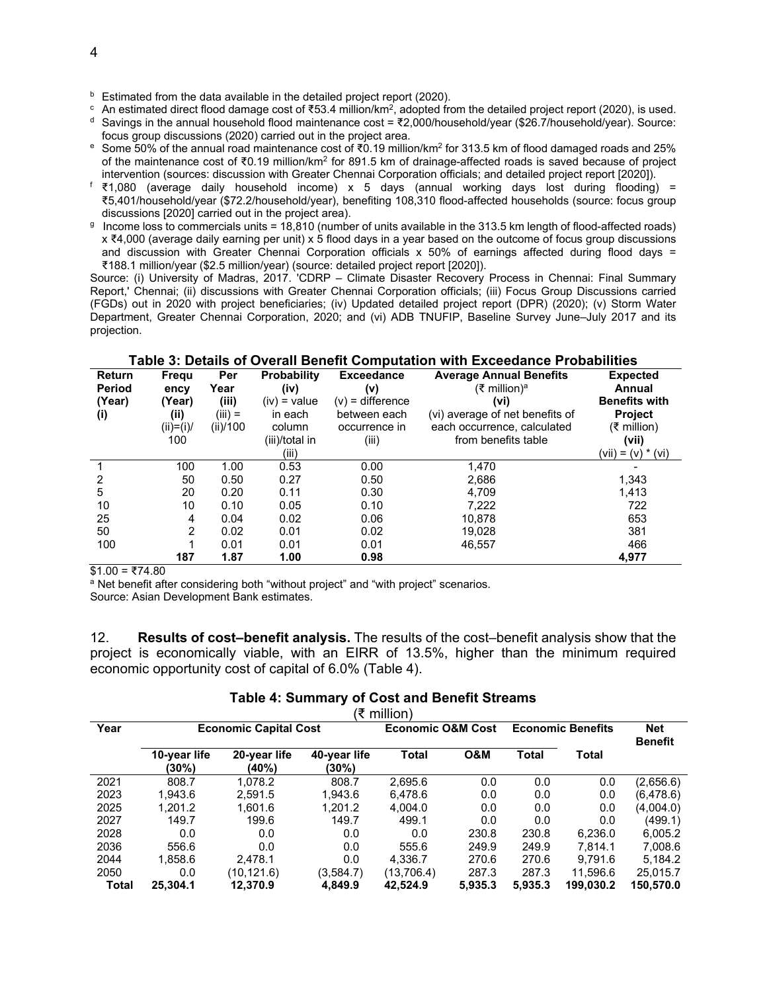$\epsilon$  An estimated direct flood damage cost of ₹53.4 million/km<sup>2</sup>, adopted from the detailed project report (2020), is used.

<sup>d</sup> Savings in the annual household flood maintenance cost = ₹2,000/household/year (\$26.7/household/year). Source: focus group discussions (2020) carried out in the project area.

- e Some 50% of the annual road maintenance cost of ₹0.19 million/km2 for 313.5 km of flood damaged roads and 25% of the maintenance cost of ₹0.19 million/km<sup>2</sup> for 891.5 km of drainage-affected roads is saved because of project intervention (sources: discussion with Greater Chennai Corporation officials; and detailed project report [2020]).
- f ₹1,080 (average daily household income) x 5 days (annual working days lost during flooding) = ₹5,401/household/year (\$72.2/household/year), benefiting 108,310 flood-affected households (source: focus group discussions [2020] carried out in the project area).
- g Income loss to commercials units = 18,810 (number of units available in the 313.5 km length of flood-affected roads) x ₹4,000 (average daily earning per unit) x 5 flood days in a year based on the outcome of focus group discussions and discussion with Greater Chennai Corporation officials x 50% of earnings affected during flood days = ₹188.1 million/year (\$2.5 million/year) (source: detailed project report [2020]).

Source: (i) University of Madras, 2017. 'CDRP – Climate Disaster Recovery Process in Chennai: Final Summary Report,' Chennai; (ii) discussions with Greater Chennai Corporation officials; (iii) Focus Group Discussions carried (FGDs) out in 2020 with project beneficiaries; (iv) Updated detailed project report (DPR) (2020); (v) Storm Water Department, Greater Chennai Corporation, 2020; and (vi) ADB TNUFIP, Baseline Survey June–July 2017 and its projection.

**Table 3: Details of Overall Benefit Computation with Exceedance Probabilities**

|                                | rapic o. Dolano or Ovoran Bonont Oompalation with Exceedance Frobabilities |             |                            |                          |                                                            |                           |  |  |  |  |
|--------------------------------|----------------------------------------------------------------------------|-------------|----------------------------|--------------------------|------------------------------------------------------------|---------------------------|--|--|--|--|
| <b>Return</b><br><b>Period</b> | Frequ<br>ency                                                              | Per<br>Year | <b>Probability</b><br>(iv) | <b>Exceedance</b><br>(v) | <b>Average Annual Benefits</b><br>(₹ million) <sup>a</sup> | <b>Expected</b><br>Annual |  |  |  |  |
| (Year)                         | (Year)                                                                     | (iii)       | $(iv) = value$             | $(v)$ = difference       | (v <sub>i</sub> )                                          | <b>Benefits with</b>      |  |  |  |  |
| (i)                            | (ii)                                                                       | $(iii) =$   | in each                    | between each             | (vi) average of net benefits of                            | <b>Project</b>            |  |  |  |  |
|                                | $(ii)=(i)$                                                                 | (ii)/100    | column                     | occurrence in            | each occurrence, calculated                                | (₹ million)               |  |  |  |  |
|                                | 100                                                                        |             | (iii)/total in             | (iii)                    | from benefits table                                        | (vii)                     |  |  |  |  |
|                                |                                                                            |             | (iii)                      |                          |                                                            | (vii) = (v) * (vi)        |  |  |  |  |
|                                | 100                                                                        | 1.00        | 0.53                       | 0.00                     | 1.470                                                      |                           |  |  |  |  |
| 2                              | 50                                                                         | 0.50        | 0.27                       | 0.50                     | 2,686                                                      | 1.343                     |  |  |  |  |
| 5                              | 20                                                                         | 0.20        | 0.11                       | 0.30                     | 4.709                                                      | 1,413                     |  |  |  |  |
| 10                             | 10                                                                         | 0.10        | 0.05                       | 0.10                     | 7,222                                                      | 722                       |  |  |  |  |
| 25                             | 4                                                                          | 0.04        | 0.02                       | 0.06                     | 10.878                                                     | 653                       |  |  |  |  |
| 50                             | 2                                                                          | 0.02        | 0.01                       | 0.02                     | 19.028                                                     | 381                       |  |  |  |  |
| 100                            |                                                                            | 0.01        | 0.01                       | 0.01                     | 46.557                                                     | 466                       |  |  |  |  |
|                                | 187                                                                        | 1.87        | 1.00                       | 0.98                     |                                                            | 4,977                     |  |  |  |  |
| $\sim$ $\sim$                  | $\pi$ $\pi$ $\sim$                                                         |             |                            |                          |                                                            |                           |  |  |  |  |

 $$1.00 = ₹74.80$ 

a Net benefit after considering both "without project" and "with project" scenarios.

Source: Asian Development Bank estimates.

12. **Results of cost–benefit analysis.** The results of the cost–benefit analysis show that the project is economically viable, with an EIRR of 13.5%, higher than the minimum required economic opportunity cost of capital of 6.0% (Table 4).

# **Table 4: Summary of Cost and Benefit Streams**

| (₹ million) |                              |                       |                              |              |                          |         |                              |           |
|-------------|------------------------------|-----------------------|------------------------------|--------------|--------------------------|---------|------------------------------|-----------|
| Year        | <b>Economic Capital Cost</b> |                       | <b>Economic O&amp;M Cost</b> |              | <b>Economic Benefits</b> |         | <b>Net</b><br><b>Benefit</b> |           |
|             | 10-year life<br>(30%)        | 20-year life<br>(40%) | 40-year life<br>(30%)        | <b>Total</b> | O&M                      | Total   | Total                        |           |
| 2021        | 808.7                        | 1.078.2               | 808.7                        | 2,695.6      | 0.0                      | 0.0     | 0.0                          | (2,656.6) |
| 2023        | 1.943.6                      | 2.591.5               | 1.943.6                      | 6.478.6      | 0.0                      | 0.0     | 0.0                          | (6,478.6) |
| 2025        | 1.201.2                      | 1.601.6               | 1.201.2                      | 4,004.0      | 0.0                      | 0.0     | 0.0                          | (4,004.0) |
| 2027        | 149.7                        | 199.6                 | 149.7                        | 499.1        | 0.0                      | 0.0     | 0.0                          | (499.1)   |
| 2028        | 0.0                          | 0.0                   | 0.0                          | 0.0          | 230.8                    | 230.8   | 6,236.0                      | 6,005.2   |
| 2036        | 556.6                        | 0.0                   | 0.0                          | 555.6        | 249.9                    | 249.9   | 7.814.1                      | 7.008.6   |
| 2044        | 1.858.6                      | 2,478.1               | 0.0                          | 4,336.7      | 270.6                    | 270.6   | 9.791.6                      | 5,184.2   |
| 2050        | 0.0                          | (10,121.6)            | (3,584.7)                    | (13,706.4)   | 287.3                    | 287.3   | 11.596.6                     | 25,015.7  |
| Total       | 25.304.1                     | 12.370.9              | 4.849.9                      | 42.524.9     | 5,935.3                  | 5,935.3 | 199.030.2                    | 150,570.0 |